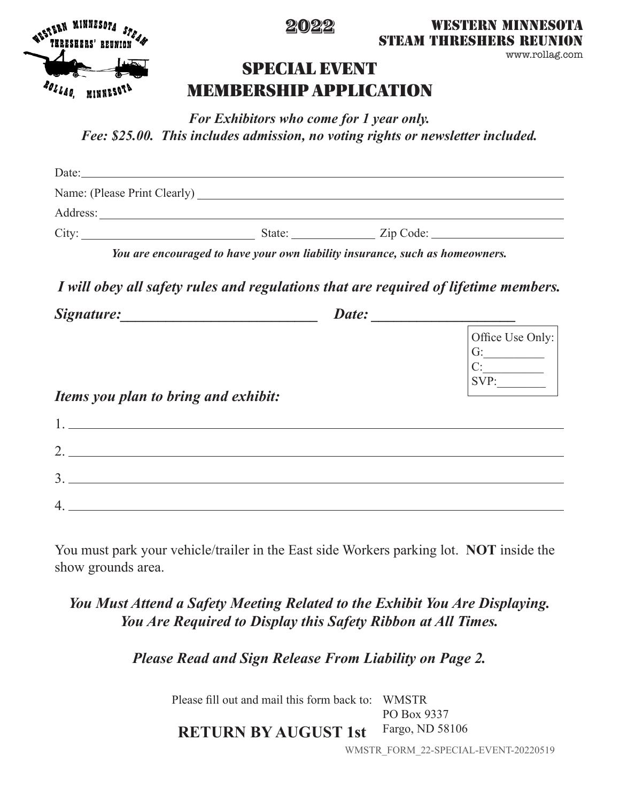

### 2022

WESTERN MINNESOTA **STEAM THRESHERS REUN** 

www.rollag.com

## SPECIAL EVENT MEMBERSHIP APPLICATION

*For Exhibitors who come for 1 year only. Fee: \$25.00. This includes admission, no voting rights or newsletter included.*

| Date:                        |        |  |
|------------------------------|--------|--|
| Name: (Please Print Clearly) |        |  |
| Address:                     |        |  |
| City:                        | State: |  |

*You are encouraged to have your own liability insurance, such as homeowners.*

*I will obey all safety rules and regulations that are required of lifetime members.*

| Signature:                           | Date:                                |  |
|--------------------------------------|--------------------------------------|--|
|                                      | Office Use Only:<br>G:<br>C:<br>SVP: |  |
| Items you plan to bring and exhibit: |                                      |  |
|                                      |                                      |  |

| ⌒<br><u>.</u> |  |
|---------------|--|
| ◠             |  |
| ◡             |  |
| ◢             |  |

You must park your vehicle/trailer in the East side Workers parking lot. **NOT** inside the show grounds area.

## *You Must Attend a Safety Meeting Related to the Exhibit You Are Displaying. You Are Required to Display this Safety Ribbon at All Times.*

*Please Read and Sign Release From Liability on Page 2.*

Please fill out and mail this form back to: WMSTR PO Box 9337 Fargo, ND 58106 **RETURN BY AUGUST 1st**

WMSTR\_FORM\_22-SPECIAL-EVENT-20220519